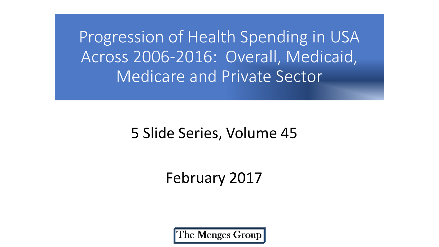Progression of Health Spending in USA Across 2006-2016: Overall, Medicaid, Medicare and Private Sector

### 5 Slide Series, Volume 45

### February 2017

The Menges Group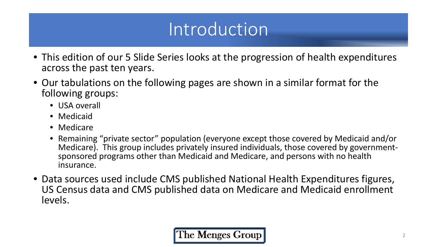# Introduction

- This edition of our 5 Slide Series looks at the progression of health expenditures across the past ten years.
- Our tabulations on the following pages are shown in a similar format for the following groups:
	- USA overall
	- Medicaid
	- Medicare
	- Remaining "private sector" population (everyone except those covered by Medicaid and/or sponsored programs other than Medicaid and Medicare, and persons with no health insurance.
- Data sources used include CMS published National Health Expenditures figures, US Census data and CMS published data on Medicare and Medicaid enrollment levels.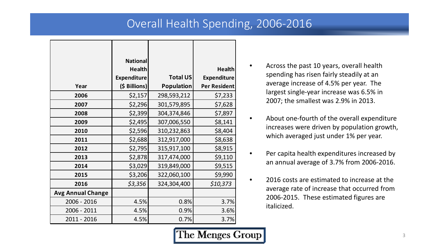#### Overall Health Spending, 2006-2016

|                          | <b>National</b><br><b>Health</b> |                   | <b>Health</b>      |
|--------------------------|----------------------------------|-------------------|--------------------|
|                          | <b>Expenditure</b>               | <b>Total US</b>   | <b>Expenditure</b> |
| Year                     | (\$ Billions)                    | <b>Population</b> | Per Resident       |
| 2006                     | \$2,157                          | 298,593,212       | \$7,233            |
| 2007                     | \$2,296                          | 301,579,895       | \$7,628            |
| 2008                     | \$2,399                          | 304,374,846       | \$7,897            |
| 2009                     | \$2,495                          | 307,006,550       | \$8,141            |
| 2010                     | \$2,596                          | 310,232,863       | \$8,404            |
| 2011                     | \$2,688                          | 312,917,000       | \$8,638            |
| 2012                     | \$2,795                          | 315,917,100       | \$8,915            |
| 2013                     | \$2,878                          | 317,474,000       | \$9,110            |
| 2014                     | \$3,029                          | 319,849,000       | \$9,515            |
| 2015                     | \$3,206                          | 322,060,100       | \$9,990            |
| 2016                     | \$3,356                          | 324,304,400       | \$10,373           |
| <b>Avg Annual Change</b> |                                  |                   |                    |
| 2006 - 2016              | 4.5%                             | 0.8%              | 3.7%               |
| 2006 - 2011              | 4.5%                             | 0.9%              | 3.6%               |
| 2011 - 2016              | 4.5%                             | 0.7%              | 3.7%               |

- Across the past 10 years, overall health spending has risen fairly steadily at an average increase of 4.5% per year. The largest single-year increase was 6.5% in 2007; the smallest was 2.9% in 2013.
- About one-fourth of the overall expenditure increases were driven by population growth, which averaged just under 1% per year.
- Per capita health expenditures increased by an annual average of 3.7% from 2006-2016.
- 2016 costs are estimated to increase at the average rate of increase that occurred from 2006-2015. These estimated figures are italicized.

The Menges Group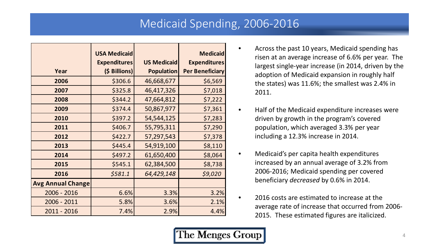#### Medicaid Spending, 2006-2016

|                          | <b>USA Medicaid</b> |                    | <b>Medicaid</b>        |
|--------------------------|---------------------|--------------------|------------------------|
|                          | <b>Expenditures</b> | <b>US Medicaid</b> | <b>Expenditures</b>    |
| Year                     | (\$ Billions)       | <b>Population</b>  | <b>Per Beneficiary</b> |
|                          |                     |                    |                        |
| 2006                     | \$306.6             | 46,668,677         | \$6,569                |
| 2007                     | \$325.8             | 46,417,326         | \$7,018                |
| 2008                     | \$344.2             | 47,664,812         | \$7,222                |
| 2009                     | \$374.4             | 50,867,977         | \$7,361                |
| 2010                     | \$397.2             | 54,544,125         | \$7,283                |
| 2011                     | \$406.7             | 55,795,311         | \$7,290                |
| 2012                     | \$422.7             | 57,297,543         | \$7,378                |
| 2013                     | \$445.4             | 54,919,100         | \$8,110                |
| 2014                     | \$497.2             | 61,650,400         | \$8,064                |
| 2015                     | \$545.1             | 62,384,500         | \$8,738                |
| 2016                     | \$581.1             | 64,429,148         | \$9,020                |
| <b>Avg Annual Change</b> |                     |                    |                        |
| 2006 - 2016              | 6.6%                | 3.3%               | 3.2%                   |
| 2006 - 2011              | 5.8%                | 3.6%               | 2.1%                   |
| 2011 - 2016              | 7.4%                | 2.9%               | 4.4%                   |

- Across the past 10 years, Medicaid spending has risen at an average increase of 6.6% per year. The largest single-year increase (in 2014, driven by the adoption of Medicaid expansion in roughly half the states) was 11.6%; the smallest was 2.4% in 2011.
- Half of the Medicaid expenditure increases were driven by growth in the program's covered population, which averaged 3.3% per year including a 12.3% increase in 2014.
- Medicaid's per capita health expenditures increased by an annual average of 3.2% from 2006-2016; Medicaid spending per covered beneficiary *decreased* by 0.6% in 2014.
- 2016 costs are estimated to increase at the average rate of increase that occurred from 2006- 2015. These estimated figures are italicized.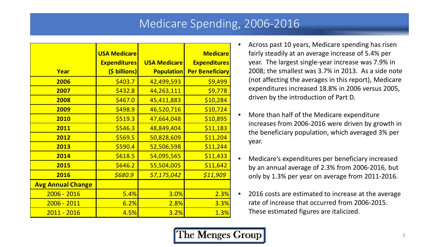#### Medicare Spending, 2006-2016

|                          | <b>USA Medicare</b> |                     | <b>Medicare</b>        |
|--------------------------|---------------------|---------------------|------------------------|
|                          |                     |                     |                        |
|                          | <b>Expenditures</b> | <b>USA Medicare</b> | <b>Expenditures</b>    |
| Year                     | (\$ billions)       | <b>Population</b>   | <b>Per Beneficiary</b> |
| 2006                     | \$403.7             | 42,499,593          | \$9,499                |
| 2007                     | \$432.8             | 44,263,111          | \$9,778                |
| 2008                     | \$467.0             | 45,411,883          | \$10,284               |
| 2009                     | \$498.9             | 46,520,716          | \$10,724               |
| 2010                     | \$519.3             | 47,664,048          | \$10,895               |
| 2011                     | \$546.3             | 48,849,404          | \$11,183               |
| 2012                     | \$569.5             | 50,828,609          | \$11,204               |
| 2013                     | \$590.4             | 52,506,598          | \$11,244               |
| 2014                     | \$618.5             | 54,095,565          | \$11,433               |
| 2015                     | \$646.2             | 55,504,005          | \$11,642               |
| 2016                     | \$680.9             | 57,175,042          | \$11,909               |
| <b>Avg Annual Change</b> |                     |                     |                        |
| $2006 - 2016$            | 5.4%                | <b>3.0%</b>         | 2.3%                   |
| $2006 - 2011$            | 6.2%                | 2.8%                | 3.3%                   |
| $2011 - 2016$            | 4.5%                | 3.2%                | 1.3%                   |

- Across past 10 years, Medicare spending has risen fairly steadily at an average increase of 5.4% per year. The largest single-year increase was 7.9% in 2008; the smallest was 3.7% in 2013. As a side note (not affecting the averages in this report), Medicare expenditures increased 18.8% in 2006 versus 2005, driven by the introduction of Part D.
- More than half of the Medicare expenditure increases from 2006-2016 were driven by growth in the beneficiary population, which averaged 3% per year.
- Medicare's expenditures per beneficiary increased by an annual average of 2.3% from 2006-2016, but only by 1.3% per year on average from 2011-2016.
- 2016 costs are estimated to increase at the average rate of increase that occurred from 2006-2015. These estimated figures are italicized.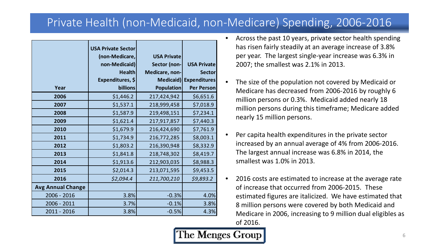#### Private Health (non-Medicaid, non-Medicare) Spending, 2006-2016

|                          | <b>USA Private Sector</b><br>(non-Medicare,<br>non-Medicaid)<br><b>Health</b> | <b>USA Private</b><br>Sector (non-<br>Medicare, non- | <b>USA Private</b><br><b>Sector</b>      |
|--------------------------|-------------------------------------------------------------------------------|------------------------------------------------------|------------------------------------------|
| Year                     | Expenditures, \$<br>billions                                                  | Medicaid)<br><b>Population</b>                       | <b>Expenditures</b><br><b>Per Person</b> |
|                          |                                                                               |                                                      |                                          |
| 2006                     | \$1,446.2                                                                     | 217,424,942                                          | \$6,651.6                                |
| 2007                     | \$1,537.1                                                                     | 218,999,458                                          | \$7,018.9                                |
| 2008                     | \$1,587.9                                                                     | 219,498,151                                          | \$7,234.1                                |
| 2009                     | \$1,621.4                                                                     | 217,917,857                                          | \$7,440.3                                |
| 2010                     | \$1,679.9                                                                     | 216,424,690                                          | \$7,761.9                                |
| 2011                     | \$1,734.9                                                                     | 216,772,285                                          | \$8,003.1                                |
| 2012                     | \$1,803.2                                                                     | 216,390,948                                          | \$8,332.9                                |
| 2013                     | \$1,841.8                                                                     | 218,748,302                                          | \$8,419.7                                |
| 2014                     | \$1,913.6                                                                     | 212,903,035                                          | \$8,988.3                                |
| 2015                     | \$2,014.3                                                                     | 213,071,595                                          | \$9,453.5                                |
| 2016                     | \$2,094.4                                                                     | 211,700,210                                          | \$9,893.2                                |
| <b>Avg Annual Change</b> |                                                                               |                                                      |                                          |
| 2006 - 2016              | 3.8%                                                                          | $-0.3%$                                              | 4.0%                                     |
| 2006 - 2011              | 3.7%                                                                          | $-0.1%$                                              | 3.8%                                     |
| 2011 - 2016              | 3.8%                                                                          | $-0.5%$                                              | 4.3%                                     |

- Across the past 10 years, private sector health spending has risen fairly steadily at an average increase of 3.8% per year. The largest single-year increase was 6.3% in 2007; the smallest was 2.1% in 2013.
- The size of the population not covered by Medicaid or Medicare has decreased from 2006-2016 by roughly 6 million persons or 0.3%. Medicaid added nearly 18 million persons during this timeframe; Medicare added nearly 15 million persons.
- Per capita health expenditures in the private sector increased by an annual average of 4% from 2006-2016. The largest annual increase was 6.8% in 2014, the smallest was 1.0% in 2013.
- 2016 costs are estimated to increase at the average rate of increase that occurred from 2006-2015. These estimated figures are italicized. We have estimated that 8 million persons were covered by both Medicaid and Medicare in 2006, increasing to 9 million dual eligibles as of 2016.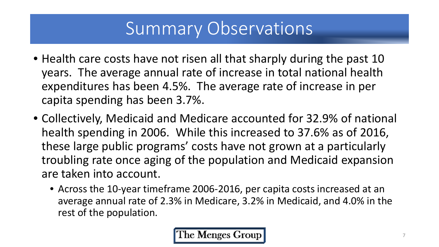# Summary Observations

- Health care costs have not risen all that sharply during the past 10 years. The average annual rate of increase in total national health expenditures has been 4.5%. The average rate of increase in per capita spending has been 3.7%.
- Collectively, Medicaid and Medicare accounted for 32.9% of national health spending in 2006. While this increased to 37.6% as of 2016, these large public programs' costs have not grown at a particularly troubling rate once aging of the population and Medicaid expansion are taken into account.
	- Across the 10-year timeframe 2006-2016, per capita costs increased at an average annual rate of 2.3% in Medicare, 3.2% in Medicaid, and 4.0% in the rest of the population.